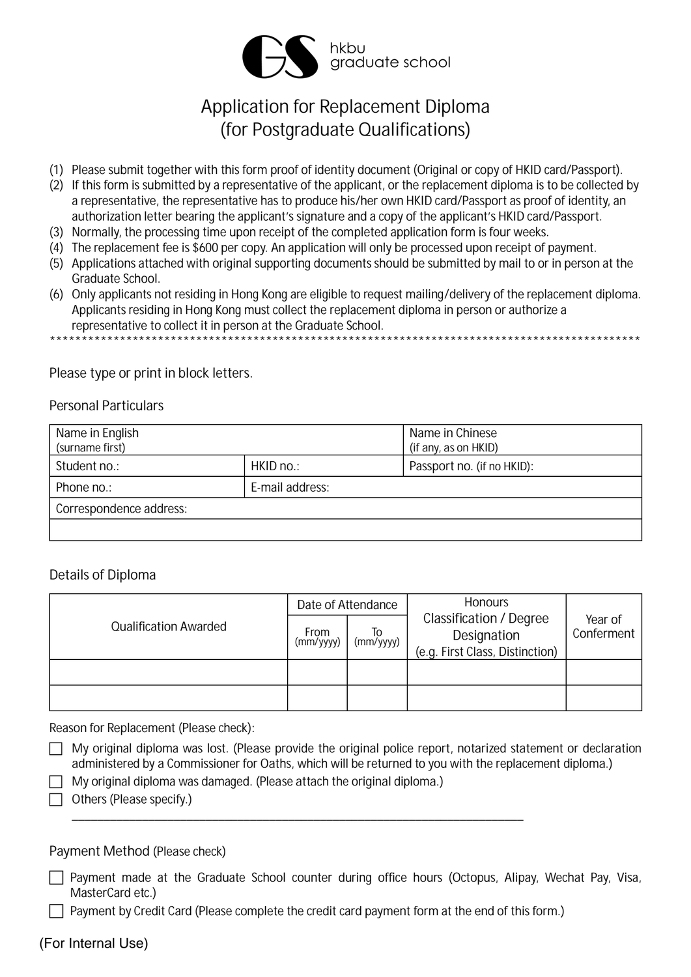

# Application for Replacement Diploma (for Postgraduate Qualifications)

- (1) Please submit together with this form proof of identity document (Original or copy of HKID card/Passport).
- (2) If this form is submitted by a representative of the applicant, or the replacement diploma is to be collected by a representative, the representative has to produce his/her own HKID card/Passport as proof of identity, an authorization letter bearing the applicant's signature and a copy of the applicant's HKID card/Passport.
- (3) Normally, the processing time upon receipt of the completed application form is four weeks.
- (4) The replacement fee is \$600 per copy. An application will only be processed upon receipt of payment.
- (5) Applications attached with original supporting documents should be submitted by mail to or in person at the Graduate School.
- (6) Only applicants not residing in Hong Kong are eligible to request mailing/delivery of the replacement diploma. Applicants residing in Hong Kong must collect the replacement diploma in person or authorize a representative to collect it in person at the Graduate School.

#### Please type or print in block letters.

#### **Personal Particulars**

| Name in English<br>(surname first) |                 | Name in Chinese<br>(if any, as on HKID) |
|------------------------------------|-----------------|-----------------------------------------|
| Student no.:                       | HKID no.:       | Passport no. (if no HKID):              |
| Phone no.:                         | E-mail address: |                                         |
| Correspondence address:            |                 |                                         |
|                                    |                 |                                         |

## Details of Diploma

|                              | Date of Attendance |                 | <b>Honours</b>                                                                   |                       |
|------------------------------|--------------------|-----------------|----------------------------------------------------------------------------------|-----------------------|
| <b>Qualification Awarded</b> | From<br>(mm/yyyy)  | Τo<br>(mm/yyyy) | <b>Classification / Degree</b><br>Designation<br>(e.g. First Class, Distinction) | Year of<br>Conferment |
|                              |                    |                 |                                                                                  |                       |
|                              |                    |                 |                                                                                  |                       |

Reason for Replacement (Please check):

- $\Box$  My original diploma was lost. (Please provide the original police report, notarized statement or declaration administered by a Commissioner for Oaths, which will be returned to you with the replacement diploma.)
	- My original diploma was damaged. (Please attach the original diploma.)
- $\Box$  Others (Please specify.)

#### Payment Method (Please check)

□ Payment made at the Graduate School counter during office hours (Octopus, Alipay, Wechat Pay, Visa, MasterCard etc.)

 $\Box$  Payment by Credit Card (Please complete the credit card payment form at the end of this form.)

## (For Internal Use)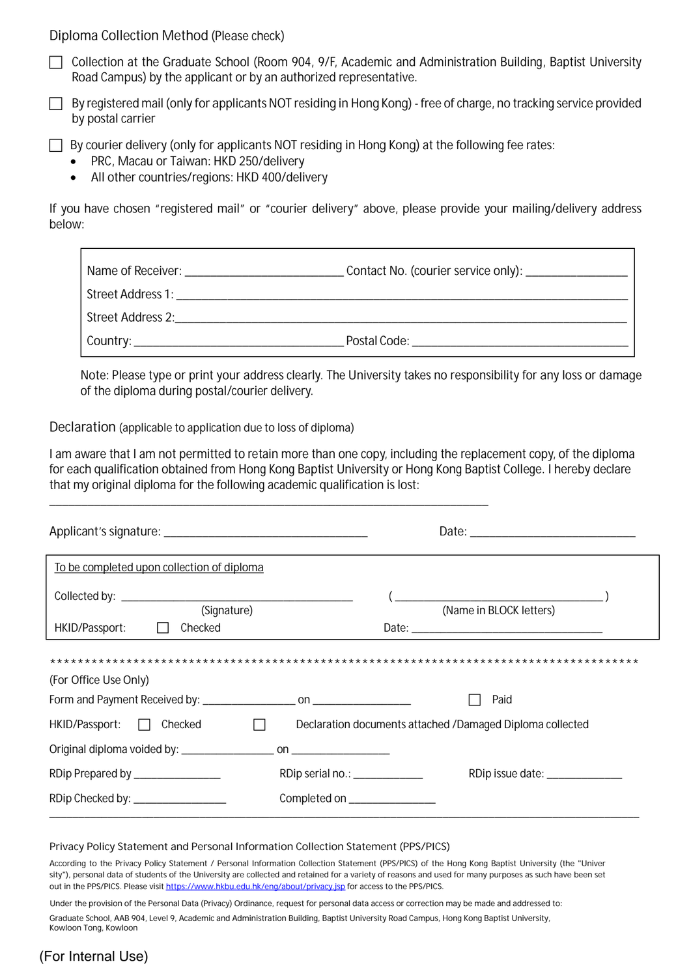**Diploma Collection Method** (*Please check*)

- c Collection at the Graduate School (Room 904, 9/F, Academic and Administration Building, Baptist University Road Campus) by the applicant or by an authorized representative.
- c By registered mail (*only for applicants NOT residing in Hong Kong*) free of charge, no tracking service provided by postal carrier

By courier delivery (only for applicants NOT residing in Hong Kong) at the following fee rates:

- PRC, Macau or Taiwan: HKD 250/delivery
- All other countries/regions: HKD 400/delivery

If you have chosen "registered mail" or "courier delivery" above, please provide your mailing/delivery address below:

| Contact No. (courier service only): ________________                                                          |
|---------------------------------------------------------------------------------------------------------------|
|                                                                                                               |
|                                                                                                               |
| Postal Code: The Contract of the Code of the Code of the Code of the Code of the Code of the Code of the Code |

*Note: Please type or print your address clearly. The University takes no responsibility for any loss or damage of the diploma during postal/courier delivery.*

**Declaration (applicable to application due to loss of diploma)**

I am aware that I am not permitted to retain more than one copy, including the replacement copy, of the diploma for each qualification obtained from Hong Kong Baptist University or Hong Kong Baptist College. I hereby declare that my original diploma for the following academic qualification is lost:

\_\_\_\_\_\_\_\_\_\_\_\_\_\_\_\_\_\_\_\_\_\_\_\_\_\_\_\_\_\_\_\_\_\_\_\_\_\_\_\_\_\_\_\_\_\_\_\_\_\_\_\_\_\_\_\_\_\_\_\_\_\_\_\_\_\_\_\_\_

| To be completed upon collection of diploma                           |                                                                                                                                                                                                                                                                                                                                                                                                                 |
|----------------------------------------------------------------------|-----------------------------------------------------------------------------------------------------------------------------------------------------------------------------------------------------------------------------------------------------------------------------------------------------------------------------------------------------------------------------------------------------------------|
| (Signature)                                                          | $\overline{a}$ $\overline{a}$ $\overline{a}$ $\overline{a}$ $\overline{a}$ $\overline{a}$ $\overline{a}$ $\overline{a}$ $\overline{a}$ $\overline{a}$ $\overline{a}$ $\overline{a}$ $\overline{a}$ $\overline{a}$ $\overline{a}$ $\overline{a}$ $\overline{a}$ $\overline{a}$ $\overline{a}$ $\overline{a}$ $\overline{a}$ $\overline{a}$ $\overline{a}$ $\overline{a}$ $\overline{$<br>(Name in BLOCK letters) |
| HKID/Passport:<br>Checked                                            |                                                                                                                                                                                                                                                                                                                                                                                                                 |
| (For Office Use Only)                                                | Paid                                                                                                                                                                                                                                                                                                                                                                                                            |
| HKID/Passport: <b>D</b> Checked<br><b>Contract Contract Contract</b> | Declaration documents attached /Damaged Diploma collected                                                                                                                                                                                                                                                                                                                                                       |
|                                                                      |                                                                                                                                                                                                                                                                                                                                                                                                                 |
| RDip Prepared by ________________                                    | RDip serial no.: ____________<br>RDip issue date: _______________                                                                                                                                                                                                                                                                                                                                               |
| RDip Checked by: ________________                                    | Completed on ________________                                                                                                                                                                                                                                                                                                                                                                                   |

#### **Privacy Policy Statement and Personal Information Collection Statement (PPS/PICS)**

According to the Privacy Policy Statement / Personal Information Collection Statement (PPS/PICS) of the Hong Kong Baptist University (the "Univer sity"), personal data of students of the University are collected and retained for a variety of reasons and used for many purposes as such have been set out in the PPS/PICS. Please visit https://www.hkbu.edu.hk/eng/about/privacy.jsp for access to the PPS/PICS.

Under the provision of the Personal Data (Privacy) Ordinance, request for personal data access or correction may be made and addressed to:

Graduate School, AAB 904, Level 9, Academic and Administration Building, Baptist University Road Campus, Hong Kong Baptist University, Kowloon Tong, Kowloon

# (For Internal Use)